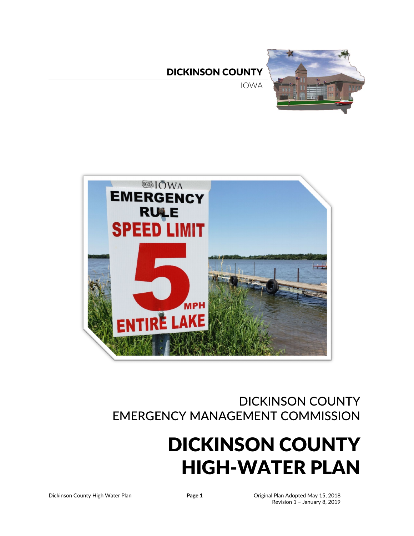DICKINSON COUNTY

IOWA





# DICKINSON COUNTY EMERGENCY MANAGEMENT COMMISSION

# DICKINSON COUNTY HIGH-WATER PLAN

Dickinson County High Water Plan **Page 1** Original Plan Adopted May 15, 2018 Revision 1 – January 8, 2019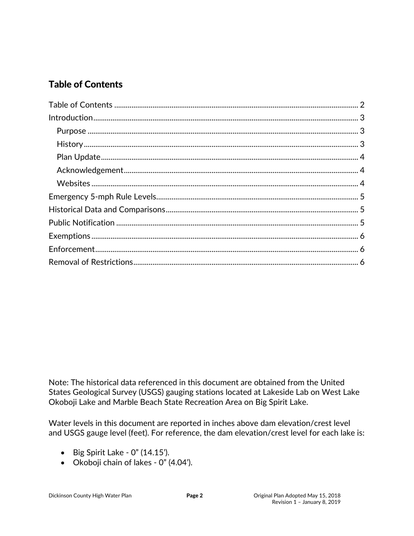# <span id="page-1-0"></span>**Table of Contents**

Note: The historical data referenced in this document are obtained from the United States Geological Survey (USGS) gauging stations located at Lakeside Lab on West Lake Okoboji Lake and Marble Beach State Recreation Area on Big Spirit Lake.

Water levels in this document are reported in inches above dam elevation/crest level and USGS gauge level (feet). For reference, the dam elevation/crest level for each lake is:

- Big Spirit Lake  $0''$  (14.15').
- Okoboji chain of lakes 0" (4.04').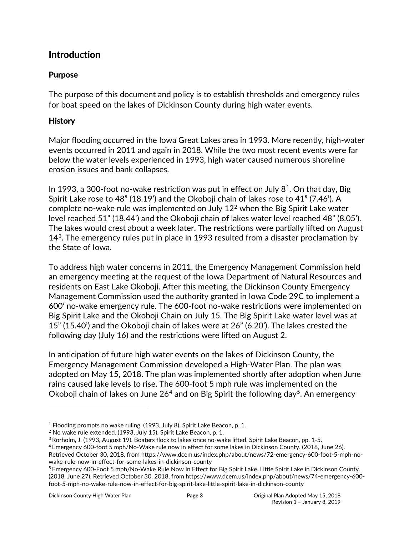# <span id="page-2-0"></span>**Introduction**

#### <span id="page-2-1"></span>Purpose

The purpose of this document and policy is to establish thresholds and emergency rules for boat speed on the lakes of Dickinson County during high water events.

#### <span id="page-2-2"></span>**History**

Major flooding occurred in the Iowa Great Lakes area in 1993. More recently, high-water events occurred in 2011 and again in 2018. While the two most recent events were far below the water levels experienced in 1993, high water caused numerous shoreline erosion issues and bank collapses.

In 1993, a 300-foot no-wake restriction was put in effect on July  $8<sup>1</sup>$ . On that day, Big Spirit Lake rose to 48" (18.19') and the Okoboji chain of lakes rose to 41" (7.46'). A complete no-wake rule was implemented on July 12[2](#page-2-4) when the Big Spirit Lake water level reached 51" (18.44') and the Okoboji chain of lakes water level reached 48" (8.05'). The lakes would crest about a week later. The restrictions were partially lifted on August 14<sup>[3](#page-2-5)</sup>. The emergency rules put in place in 1993 resulted from a disaster proclamation by the State of Iowa.

To address high water concerns in 2011, the Emergency Management Commission held an emergency meeting at the request of the Iowa Department of Natural Resources and residents on East Lake Okoboji. After this meeting, the Dickinson County Emergency Management Commission used the authority granted in Iowa Code 29C to implement a 600' no-wake emergency rule. The 600-foot no-wake restrictions were implemented on Big Spirit Lake and the Okoboji Chain on July 15. The Big Spirit Lake water level was at 15" (15.40') and the Okoboji chain of lakes were at 26" (6.20'). The lakes crested the following day (July 16) and the restrictions were lifted on August 2.

In anticipation of future high water events on the lakes of Dickinson County, the Emergency Management Commission developed a High-Water Plan. The plan was adopted on May 15, 2018. The plan was implemented shortly after adoption when June rains caused lake levels to rise. The 600-foot 5 mph rule was implemented on the Okoboji chain of lakes on June  $26<sup>4</sup>$  $26<sup>4</sup>$  $26<sup>4</sup>$  and on Big Spirit the following day<sup>5</sup>. An emergency

 $\overline{a}$ 

<span id="page-2-3"></span><sup>&</sup>lt;sup>1</sup> Flooding prompts no wake ruling. (1993, July 8). Spirit Lake Beacon, p. 1.

<span id="page-2-4"></span><sup>2</sup> No wake rule extended. (1993, July 15). Spirit Lake Beacon, p. 1.

<span id="page-2-5"></span><sup>3</sup> Rorholm, J. (1993, August 19). Boaters flock to lakes once no-wake lifted. Spirit Lake Beacon, pp. 1-5.

<span id="page-2-6"></span><sup>4</sup> Emergency 600-foot 5 mph/No-Wake rule now in effect for some lakes in Dickinson County. (2018, June 26). Retrieved October 30, 2018, from https://www.dcem.us/index.php/about/news/72-emergency-600-foot-5-mph-nowake-rule-now-in-effect-for-some-lakes-in-dickinson-county

<span id="page-2-7"></span><sup>5</sup> Emergency 600-Foot 5 mph/No-Wake Rule Now In Effect for Big Spirit Lake, Little Spirit Lake in Dickinson County. (2018, June 27). Retrieved October 30, 2018, from https://www.dcem.us/index.php/about/news/74-emergency-600 foot-5-mph-no-wake-rule-now-in-effect-for-big-spirit-lake-little-spirit-lake-in-dickinson-county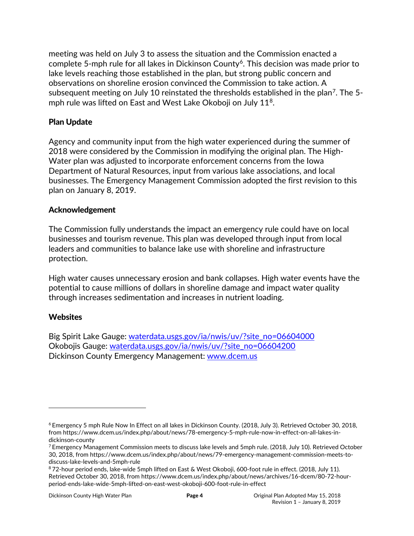meeting was held on July 3 to assess the situation and the Commission enacted a complete 5-mph rule for all lakes in Dickinson County<sup>[6](#page-3-3)</sup>. This decision was made prior to lake levels reaching those established in the plan, but strong public concern and observations on shoreline erosion convinced the Commission to take action. A subsequent meeting on July 10 reinstated the thresholds established in the plan<sup>7</sup>. The 5-mph rule was lifted on East and West Lake Okoboji on July 11<sup>[8](#page-3-5)</sup>.

#### <span id="page-3-0"></span>Plan Update

Agency and community input from the high water experienced during the summer of 2018 were considered by the Commission in modifying the original plan. The High-Water plan was adjusted to incorporate enforcement concerns from the Iowa Department of Natural Resources, input from various lake associations, and local businesses. The Emergency Management Commission adopted the first revision to this plan on January 8, 2019.

#### <span id="page-3-1"></span>Acknowledgement

The Commission fully understands the impact an emergency rule could have on local businesses and tourism revenue. This plan was developed through input from local leaders and communities to balance lake use with shoreline and infrastructure protection.

High water causes unnecessary erosion and bank collapses. High water events have the potential to cause millions of dollars in shoreline damage and impact water quality through increases sedimentation and increases in nutrient loading.

#### <span id="page-3-2"></span>**Websites**

 $\overline{a}$ 

Big Spirit Lake Gauge: [waterdata.usgs.gov/ia/nwis/uv/?site\\_no=06604000](http://waterdata.usgs.gov/ia/nwis/uv/?site_no=06604000) Okobojis Gauge: [waterdata.usgs.gov/ia/nwis/uv/?site\\_no=06604200](http://waterdata.usgs.gov/ia/nwis/uv/?site_no=06604200) Dickinson County Emergency Management: [www.dcem.us](http://www.dcem.us/)

<span id="page-3-3"></span><sup>6</sup> Emergency 5 mph Rule Now In Effect on all lakes in Dickinson County. (2018, July 3). Retrieved October 30, 2018, from https://www.dcem.us/index.php/about/news/78-emergency-5-mph-rule-now-in-effect-on-all-lakes-indickinson-county

<span id="page-3-4"></span> $^7$  Emergency Management Commission meets to discuss lake levels and 5mph rule. (2018, July 10). Retrieved October 30, 2018, from https://www.dcem.us/index.php/about/news/79-emergency-management-commission-meets-todiscuss-lake-levels-and-5mph-rule

<span id="page-3-5"></span><sup>8</sup> 72-hour period ends, lake-wide 5mph lifted on East & West Okoboji, 600-foot rule in effect. (2018, July 11). Retrieved October 30, 2018, from https://www.dcem.us/index.php/about/news/archives/16-dcem/80-72-hourperiod-ends-lake-wide-5mph-lifted-on-east-west-okoboji-600-foot-rule-in-effect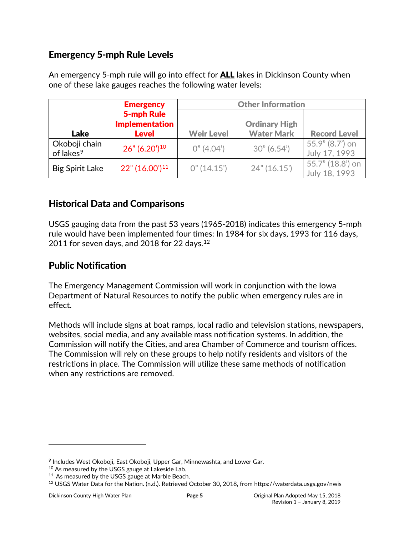# <span id="page-4-0"></span>Emergency 5-mph Rule Levels

An emergency 5-mph rule will go into effect for **ALL** lakes in Dickinson County when one of these lake gauges reaches the following water levels:

|                                        | <b>Emergency</b>                                           | <b>Other Information</b> |                                           |                                   |  |
|----------------------------------------|------------------------------------------------------------|--------------------------|-------------------------------------------|-----------------------------------|--|
| <b>Lake</b>                            | <b>5-mph Rule</b><br><b>Implementation</b><br><b>Level</b> | <b>Weir Level</b>        | <b>Ordinary High</b><br><b>Water Mark</b> | <b>Record Level</b>               |  |
| Okoboji chain<br>of lakes <sup>9</sup> | $26''$ (6.20') <sup>10</sup>                               | 0''(4.04')               | 30''(6.54')                               | 55.9" (8.7') on<br>July 17, 1993  |  |
| <b>Big Spirit Lake</b>                 | $22" (16.00')^{11}$                                        | 0''(14.15')              | 24" (16.15')                              | 55.7" (18.8') on<br>July 18, 1993 |  |

# <span id="page-4-1"></span>Historical Data and Comparisons

USGS gauging data from the past 53 years (1965-2018) indicates this emergency 5-mph rule would have been implemented four times: In 1984 for six days, 1993 for 116 days, 2011 for seven days, and 2018 for 22 days. $^{12}$  $^{12}$  $^{12}$ 

# <span id="page-4-2"></span>Public Notification

The Emergency Management Commission will work in conjunction with the Iowa Department of Natural Resources to notify the public when emergency rules are in effect.

Methods will include signs at boat ramps, local radio and television stations, newspapers, websites, social media, and any available mass notification systems. In addition, the Commission will notify the Cities, and area Chamber of Commerce and tourism offices. The Commission will rely on these groups to help notify residents and visitors of the restrictions in place. The Commission will utilize these same methods of notification when any restrictions are removed.

 $\overline{a}$ 

<span id="page-4-3"></span><sup>9</sup> Includes West Okoboji, East Okoboji, Upper Gar, Minnewashta, and Lower Gar.

<span id="page-4-4"></span><sup>10</sup> As measured by the USGS gauge at Lakeside Lab.

<span id="page-4-5"></span><sup>&</sup>lt;sup>11</sup> As measured by the USGS gauge at Marble Beach.

<span id="page-4-6"></span><sup>12</sup> USGS Water Data for the Nation. (n.d.). Retrieved October 30, 2018, from https://waterdata.usgs.gov/nwis